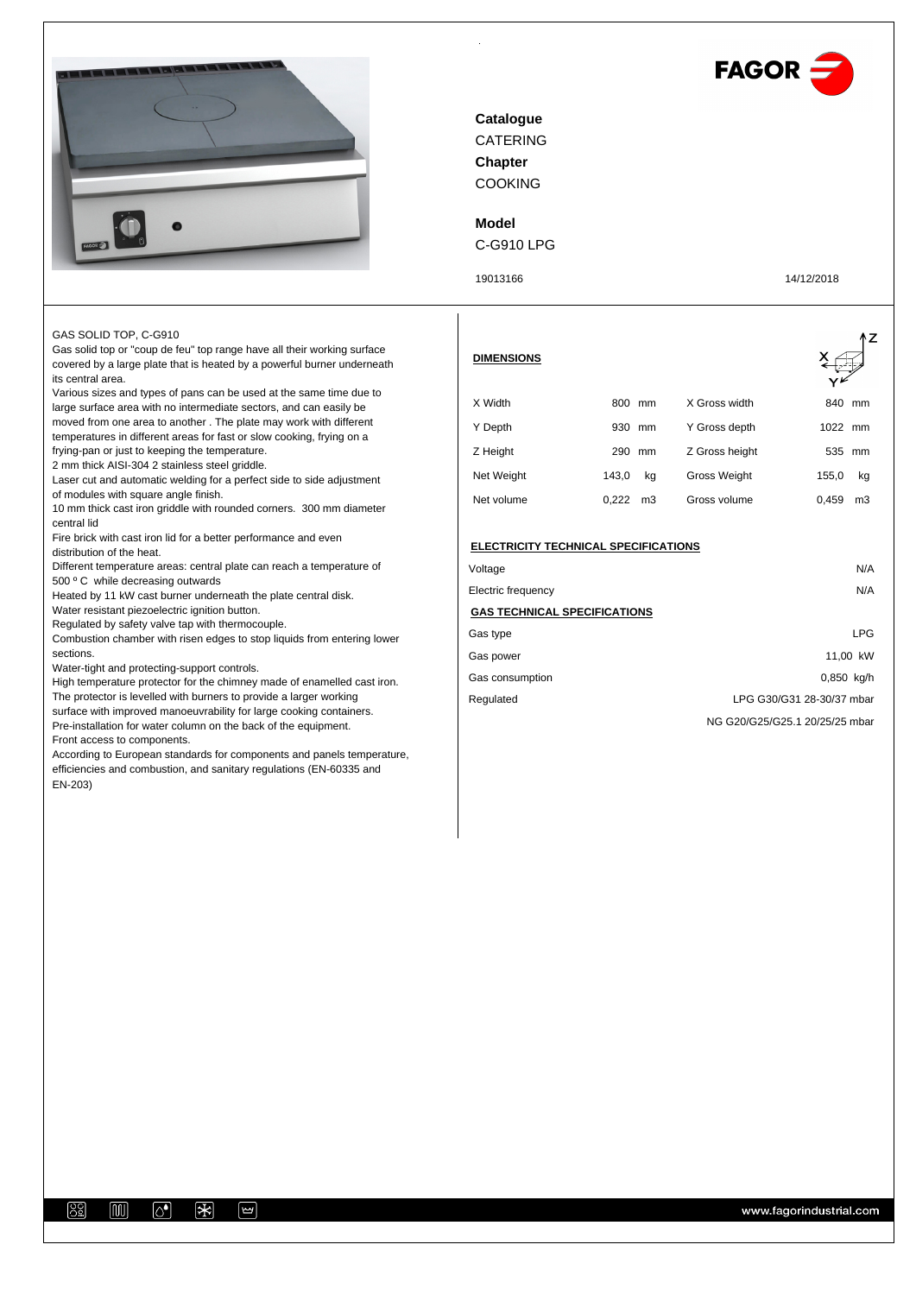



CATERING COOKING **Catalogue Chapter**

## **Model**

C-G910 LPG

19013166 14/12/2018

GAS SOLID TOP, C-G910

Gas solid top or "coup de feu" top range have all their working surface covered by a large plate that is heated by a powerful burner underneath its central area.

Various sizes and types of pans can be used at the same time due to large surface area with no intermediate sectors, and can easily be moved from one area to another . The plate may work with different temperatures in different areas for fast or slow cooking, frying on a frying-pan or just to keeping the temperature.

2 mm thick AISI-304 2 stainless steel griddle.

Laser cut and automatic welding for a perfect side to side adjustment of modules with square angle finish.

10 mm thick cast iron griddle with rounded corners. 300 mm diameter central lid

Fire brick with cast iron lid for a better performance and even distribution of the heat.

Different temperature areas: central plate can reach a temperature of 500 º C while decreasing outwards

Heated by 11 kW cast burner underneath the plate central disk. Water resistant piezoelectric ignition button.

Regulated by safety valve tap with thermocouple.

Combustion chamber with risen edges to stop liquids from entering lower sections.

Water-tight and protecting-support controls.

High temperature protector for the chimney made of enamelled cast iron. The protector is levelled with burners to provide a larger working surface with improved manoeuvrability for large cooking containers. Pre-installation for water column on the back of the equipment. Front access to components.

According to European standards for components and panels temperature, efficiencies and combustion, and sanitary regulations (EN-60335 and EN-203)

| <b>DIMENSIONS</b> |                         |                | ٨Z          |
|-------------------|-------------------------|----------------|-------------|
| X Width           | 800<br>mm               | X Gross width  | 840<br>mm   |
| Y Depth           | 930<br>mm               | Y Gross depth  | 1022 mm     |
| Z Height          | 290<br>mm               | Z Gross height | 535<br>mm   |
| Net Weight        | 143,0<br>kg             | Gross Weight   | 155,0<br>kg |
| Net volume        | 0.222<br>m <sub>3</sub> | Gross volume   | 0.459<br>mЗ |

| <b>ELECTRICITY TECHNICAL SPECIFICATIONS</b> |                                |
|---------------------------------------------|--------------------------------|
| Voltage                                     | N/A                            |
| Electric frequency                          | N/A                            |
| <b>GAS TECHNICAL SPECIFICATIONS</b>         |                                |
| Gas type                                    | LPG                            |
| Gas power                                   | 11.00 kW                       |
| Gas consumption                             | 0,850 kg/h                     |
| Regulated                                   | LPG G30/G31 28-30/37 mbar      |
|                                             | NG G20/G25/G25.1 20/25/25 mbar |